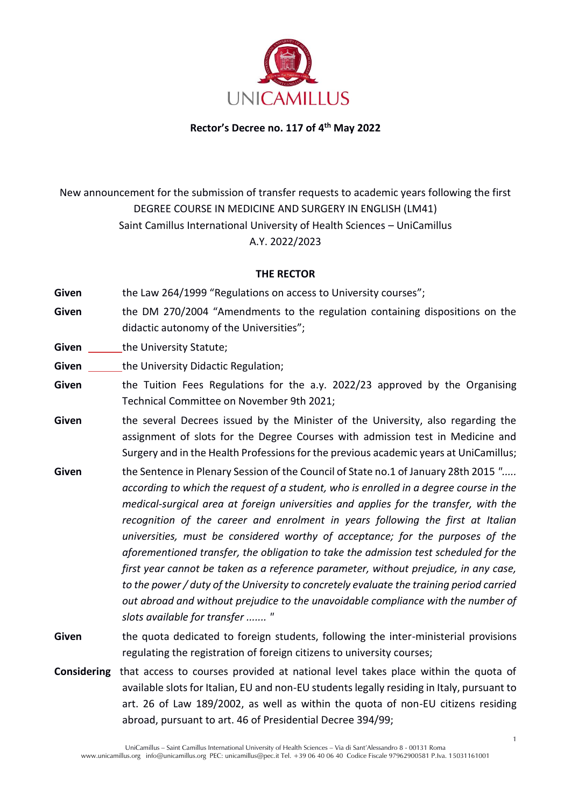

**Rector's Decree no. 117 of 4th May 2022** 

# New announcement for the submission of transfer requests to academic years following the first DEGREE COURSE IN MEDICINE AND SURGERY IN ENGLISH (LM41) Saint Camillus International University of Health Sciences – UniCamillus A.Y. 2022/2023

#### **THE RECTOR**

Given the Law 264/1999 "Regulations on access to University courses";

- **Given** the DM 270/2004 "Amendments to the regulation containing dispositions on the didactic autonomy of the Universities";
- **Given** the University Statute;

**Given** the University Didactic Regulation;

- **Given** the Tuition Fees Regulations for the a.y. 2022/23 approved by the Organising Technical Committee on November 9th 2021;
- **Given** the several Decrees issued by the Minister of the University, also regarding the assignment of slots for the Degree Courses with admission test in Medicine and Surgery and in the Health Professions for the previous academic years at UniCamillus;
- **Given** the Sentence in Plenary Session of the Council of State no.1 of January 28th 2015 *"..... according to which the request of a student, who is enrolled in a degree course in the medical-surgical area at foreign universities and applies for the transfer, with the recognition of the career and enrolment in years following the first at Italian universities, must be considered worthy of acceptance; for the purposes of the aforementioned transfer, the obligation to take the admission test scheduled for the first year cannot be taken as a reference parameter, without prejudice, in any case, to the power / duty of the University to concretely evaluate the training period carried out abroad and without prejudice to the unavoidable compliance with the number of slots available for transfer ....... "*
- **Given** the quota dedicated to foreign students, following the inter-ministerial provisions regulating the registration of foreign citizens to university courses;
- **Considering** that access to courses provided at national level takes place within the quota of available slots for Italian, EU and non-EU students legally residing in Italy, pursuant to art. 26 of Law 189/2002, as well as within the quota of non-EU citizens residing abroad, pursuant to art. 46 of Presidential Decree 394/99;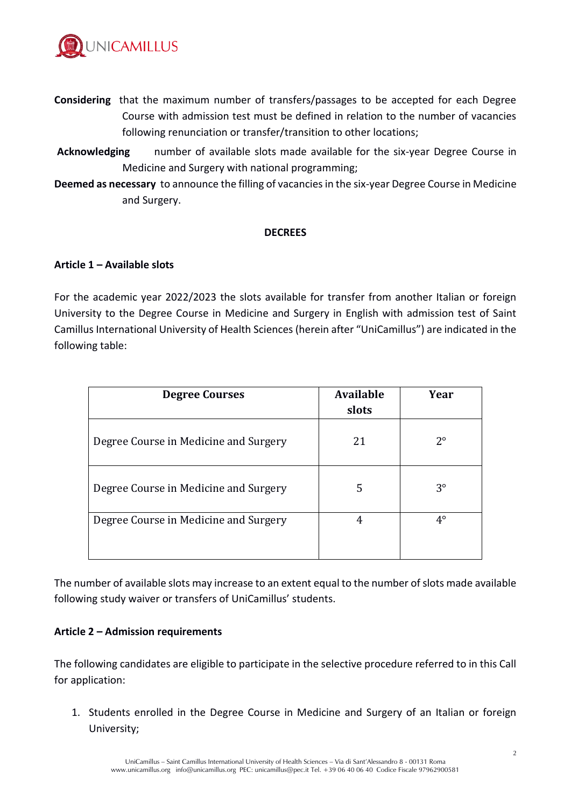

- **Considering** that the maximum number of transfers/passages to be accepted for each Degree Course with admission test must be defined in relation to the number of vacancies following renunciation or transfer/transition to other locations;
- **Acknowledging** number of available slots made available for the six-year Degree Course in Medicine and Surgery with national programming;
- **Deemed as necessary** to announce the filling of vacancies in the six-year Degree Course in Medicine and Surgery.

#### **DECREES**

#### **Article 1 – Available slots**

For the academic year 2022/2023 the slots available for transfer from another Italian or foreign University to the Degree Course in Medicine and Surgery in English with admission test of Saint Camillus International University of Health Sciences (herein after "UniCamillus") are indicated in the following table:

| <b>Degree Courses</b>                 | <b>Available</b><br>slots | Year        |
|---------------------------------------|---------------------------|-------------|
| Degree Course in Medicine and Surgery | 21                        | $2^{\circ}$ |
| Degree Course in Medicine and Surgery | 5                         | $3^{\circ}$ |
| Degree Course in Medicine and Surgery | 4                         | $4^\circ$   |

The number of available slots may increase to an extent equal to the number of slots made available following study waiver or transfers of UniCamillus' students.

#### **Article 2 – Admission requirements**

The following candidates are eligible to participate in the selective procedure referred to in this Call for application:

1. Students enrolled in the Degree Course in Medicine and Surgery of an Italian or foreign University;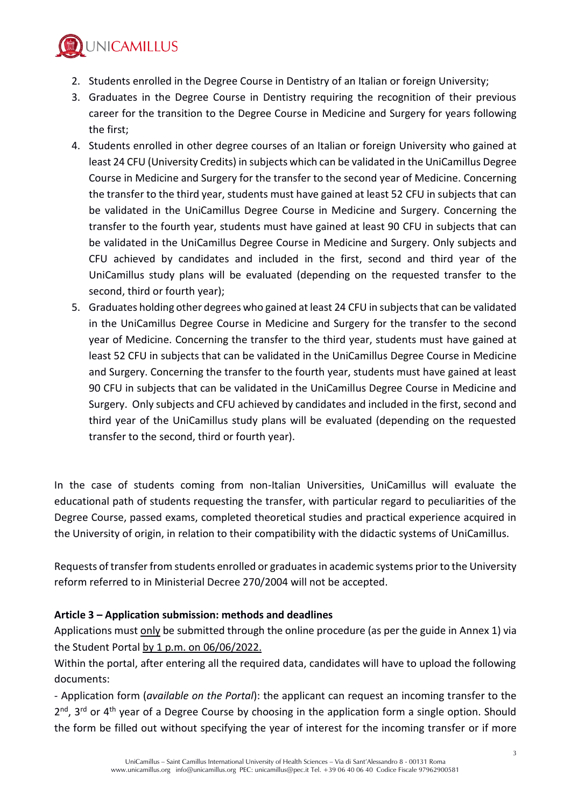

- 2. Students enrolled in the Degree Course in Dentistry of an Italian or foreign University;
- 3. Graduates in the Degree Course in Dentistry requiring the recognition of their previous career for the transition to the Degree Course in Medicine and Surgery for years following the first;
- 4. Students enrolled in other degree courses of an Italian or foreign University who gained at least 24 CFU (University Credits) in subjects which can be validated in the UniCamillus Degree Course in Medicine and Surgery for the transfer to the second year of Medicine. Concerning the transfer to the third year, students must have gained at least 52 CFU in subjects that can be validated in the UniCamillus Degree Course in Medicine and Surgery. Concerning the transfer to the fourth year, students must have gained at least 90 CFU in subjects that can be validated in the UniCamillus Degree Course in Medicine and Surgery. Only subjects and CFU achieved by candidates and included in the first, second and third year of the UniCamillus study plans will be evaluated (depending on the requested transfer to the second, third or fourth year);
- 5. Graduates holding other degrees who gained at least 24 CFU in subjects that can be validated in the UniCamillus Degree Course in Medicine and Surgery for the transfer to the second year of Medicine. Concerning the transfer to the third year, students must have gained at least 52 CFU in subjects that can be validated in the UniCamillus Degree Course in Medicine and Surgery. Concerning the transfer to the fourth year, students must have gained at least 90 CFU in subjects that can be validated in the UniCamillus Degree Course in Medicine and Surgery. Only subjects and CFU achieved by candidates and included in the first, second and third year of the UniCamillus study plans will be evaluated (depending on the requested transfer to the second, third or fourth year).

In the case of students coming from non-Italian Universities, UniCamillus will evaluate the educational path of students requesting the transfer, with particular regard to peculiarities of the Degree Course, passed exams, completed theoretical studies and practical experience acquired in the University of origin, in relation to their compatibility with the didactic systems of UniCamillus.

Requests of transfer from students enrolled or graduatesin academic systems prior to the University reform referred to in Ministerial Decree 270/2004 will not be accepted.

# **Article 3 – Application submission: methods and deadlines**

Applications must only be submitted through the online procedure (as per the guide in Annex 1) via the Student Portal by 1 p.m. on 06/06/2022.

Within the portal, after entering all the required data, candidates will have to upload the following documents:

- Application form (*available on the Portal*): the applicant can request an incoming transfer to the 2<sup>nd</sup>, 3<sup>rd</sup> or 4<sup>th</sup> year of a Degree Course by choosing in the application form a single option. Should the form be filled out without specifying the year of interest for the incoming transfer or if more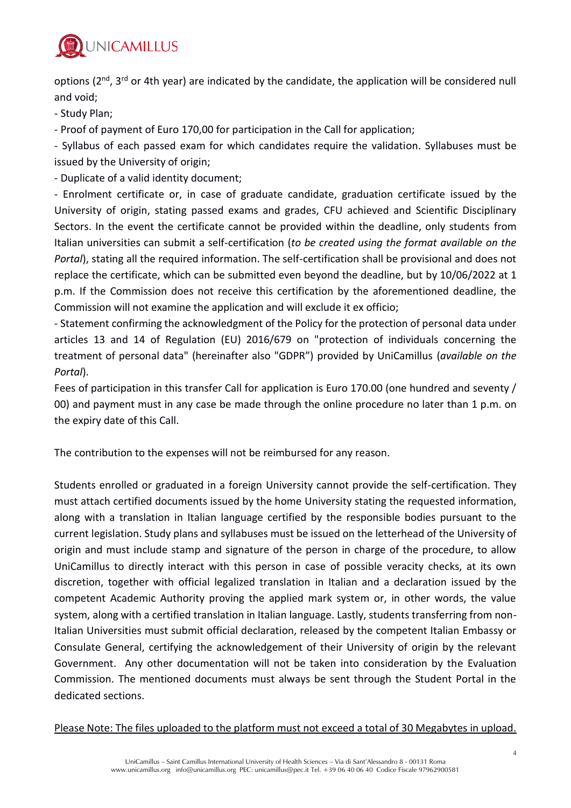

options (2<sup>nd</sup>, 3<sup>rd</sup> or 4th year) are indicated by the candidate, the application will be considered null and void;

- Study Plan;

- Proof of payment of Euro 170,00 for participation in the Call for application;

- Syllabus of each passed exam for which candidates require the validation. Syllabuses must be issued by the University of origin;

- Duplicate of a valid identity document;

- Enrolment certificate or, in case of graduate candidate, graduation certificate issued by the University of origin, stating passed exams and grades, CFU achieved and Scientific Disciplinary Sectors. In the event the certificate cannot be provided within the deadline, only students from Italian universities can submit a self-certification (*to be created using the format available on the Portal*), stating all the required information. The self-certification shall be provisional and does not replace the certificate, which can be submitted even beyond the deadline, but by 10/06/2022 at 1 p.m. If the Commission does not receive this certification by the aforementioned deadline, the Commission will not examine the application and will exclude it ex officio;

- Statement confirming the acknowledgment of the Policy for the protection of personal data under articles 13 and 14 of Regulation (EU) 2016/679 on "protection of individuals concerning the treatment of personal data" (hereinafter also "GDPR") provided by UniCamillus (*available on the Portal*).

Fees of participation in this transfer Call for application is Euro 170.00 (one hundred and seventy / 00) and payment must in any case be made through the online procedure no later than 1 p.m. on the expiry date of this Call.

The contribution to the expenses will not be reimbursed for any reason.

Students enrolled or graduated in a foreign University cannot provide the self-certification. They must attach certified documents issued by the home University stating the requested information, along with a translation in Italian language certified by the responsible bodies pursuant to the current legislation. Study plans and syllabuses must be issued on the letterhead of the University of origin and must include stamp and signature of the person in charge of the procedure, to allow UniCamillus to directly interact with this person in case of possible veracity checks, at its own discretion, together with official legalized translation in Italian and a declaration issued by the competent Academic Authority proving the applied mark system or, in other words, the value system, along with a certified translation in Italian language. Lastly, students transferring from non-Italian Universities must submit official declaration, released by the competent Italian Embassy or Consulate General, certifying the acknowledgement of their University of origin by the relevant Government. Any other documentation will not be taken into consideration by the Evaluation Commission. The mentioned documents must always be sent through the Student Portal in the dedicated sections.

Please Note: The files uploaded to the platform must not exceed a total of 30 Megabytes in upload.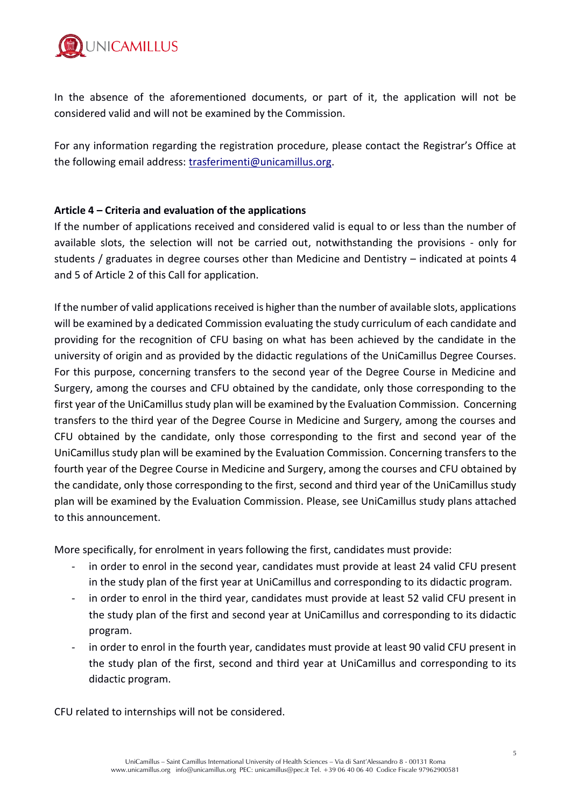

In the absence of the aforementioned documents, or part of it, the application will not be considered valid and will not be examined by the Commission.

For any information regarding the registration procedure, please contact the Registrar's Office at the following email address: [trasferimenti@unicamillus.org.](mailto:trasferimenti@unicamillus.org)

#### **Article 4 – Criteria and evaluation of the applications**

If the number of applications received and considered valid is equal to or less than the number of available slots, the selection will not be carried out, notwithstanding the provisions - only for students / graduates in degree courses other than Medicine and Dentistry – indicated at points 4 and 5 of Article 2 of this Call for application.

If the number of valid applications received is higher than the number of available slots, applications will be examined by a dedicated Commission evaluating the study curriculum of each candidate and providing for the recognition of CFU basing on what has been achieved by the candidate in the university of origin and as provided by the didactic regulations of the UniCamillus Degree Courses. For this purpose, concerning transfers to the second year of the Degree Course in Medicine and Surgery, among the courses and CFU obtained by the candidate, only those corresponding to the first year of the UniCamillus study plan will be examined by the Evaluation Commission. Concerning transfers to the third year of the Degree Course in Medicine and Surgery, among the courses and CFU obtained by the candidate, only those corresponding to the first and second year of the UniCamillus study plan will be examined by the Evaluation Commission. Concerning transfers to the fourth year of the Degree Course in Medicine and Surgery, among the courses and CFU obtained by the candidate, only those corresponding to the first, second and third year of the UniCamillus study plan will be examined by the Evaluation Commission. Please, see UniCamillus study plans attached to this announcement.

More specifically, for enrolment in years following the first, candidates must provide:

- in order to enrol in the second year, candidates must provide at least 24 valid CFU present in the study plan of the first year at UniCamillus and corresponding to its didactic program.
- in order to enrol in the third year, candidates must provide at least 52 valid CFU present in the study plan of the first and second year at UniCamillus and corresponding to its didactic program.
- in order to enrol in the fourth year, candidates must provide at least 90 valid CFU present in the study plan of the first, second and third year at UniCamillus and corresponding to its didactic program.

CFU related to internships will not be considered.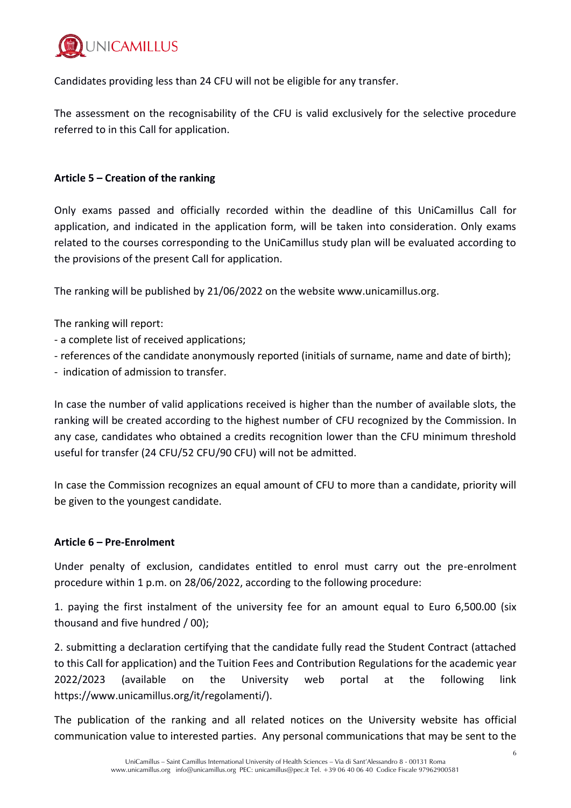

Candidates providing less than 24 CFU will not be eligible for any transfer.

The assessment on the recognisability of the CFU is valid exclusively for the selective procedure referred to in this Call for application.

# **Article 5 – Creation of the ranking**

Only exams passed and officially recorded within the deadline of this UniCamillus Call for application, and indicated in the application form, will be taken into consideration. Only exams related to the courses corresponding to the UniCamillus study plan will be evaluated according to the provisions of the present Call for application.

The ranking will be published by 21/06/2022 on the website [www.unicamillus.org.](http://www.unicamillus.org/)

The ranking will report:

- a complete list of received applications;
- references of the candidate anonymously reported (initials of surname, name and date of birth);
- indication of admission to transfer.

In case the number of valid applications received is higher than the number of available slots, the ranking will be created according to the highest number of CFU recognized by the Commission. In any case, candidates who obtained a credits recognition lower than the CFU minimum threshold useful for transfer (24 CFU/52 CFU/90 CFU) will not be admitted.

In case the Commission recognizes an equal amount of CFU to more than a candidate, priority will be given to the youngest candidate.

# **Article 6 – Pre-Enrolment**

Under penalty of exclusion, candidates entitled to enrol must carry out the pre-enrolment procedure within 1 p.m. on 28/06/2022, according to the following procedure:

1. paying the first instalment of the university fee for an amount equal to Euro 6,500.00 (six thousand and five hundred / 00);

2. submitting a declaration certifying that the candidate fully read the Student Contract (attached to this Call for application) and the Tuition Fees and Contribution Regulations for the academic year 2022/2023 (available on the University web portal at the following link https://www.unicamillus.org/it/regolamenti/).

The publication of the ranking and all related notices on the University website has official communication value to interested parties. Any personal communications that may be sent to the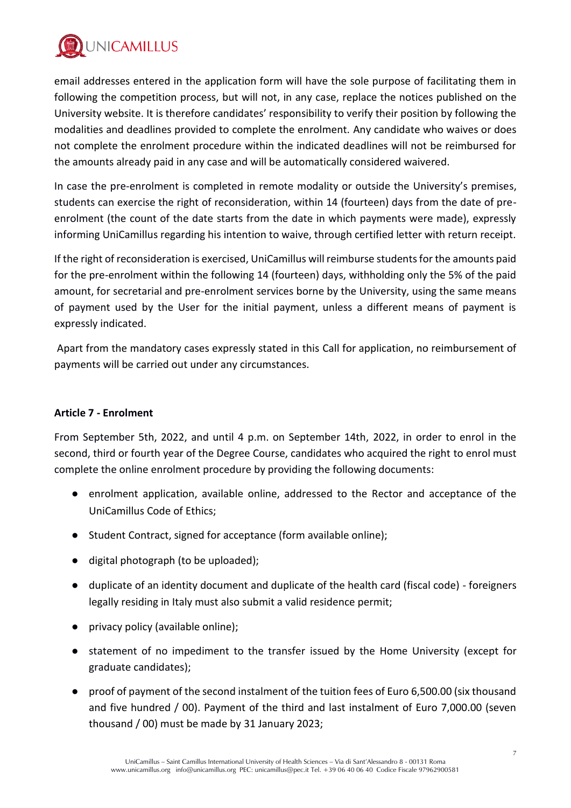

email addresses entered in the application form will have the sole purpose of facilitating them in following the competition process, but will not, in any case, replace the notices published on the University website. It is therefore candidates' responsibility to verify their position by following the modalities and deadlines provided to complete the enrolment. Any candidate who waives or does not complete the enrolment procedure within the indicated deadlines will not be reimbursed for the amounts already paid in any case and will be automatically considered waivered.

In case the pre-enrolment is completed in remote modality or outside the University's premises, students can exercise the right of reconsideration, within 14 (fourteen) days from the date of preenrolment (the count of the date starts from the date in which payments were made), expressly informing UniCamillus regarding his intention to waive, through certified letter with return receipt.

If the right of reconsideration is exercised, UniCamillus will reimburse students for the amounts paid for the pre-enrolment within the following 14 (fourteen) days, withholding only the 5% of the paid amount, for secretarial and pre-enrolment services borne by the University, using the same means of payment used by the User for the initial payment, unless a different means of payment is expressly indicated.

Apart from the mandatory cases expressly stated in this Call for application, no reimbursement of payments will be carried out under any circumstances.

# **Article 7 - Enrolment**

From September 5th, 2022, and until 4 p.m. on September 14th, 2022, in order to enrol in the second, third or fourth year of the Degree Course, candidates who acquired the right to enrol must complete the online enrolment procedure by providing the following documents:

- enrolment application, available online, addressed to the Rector and acceptance of the UniCamillus Code of Ethics;
- Student Contract, signed for acceptance (form available online);
- digital photograph (to be uploaded);
- duplicate of an identity document and duplicate of the health card (fiscal code) foreigners legally residing in Italy must also submit a valid residence permit;
- privacy policy (available online);
- statement of no impediment to the transfer issued by the Home University (except for graduate candidates);
- proof of payment of the second instalment of the tuition fees of Euro 6,500.00 (six thousand and five hundred / 00). Payment of the third and last instalment of Euro 7,000.00 (seven thousand / 00) must be made by 31 January 2023;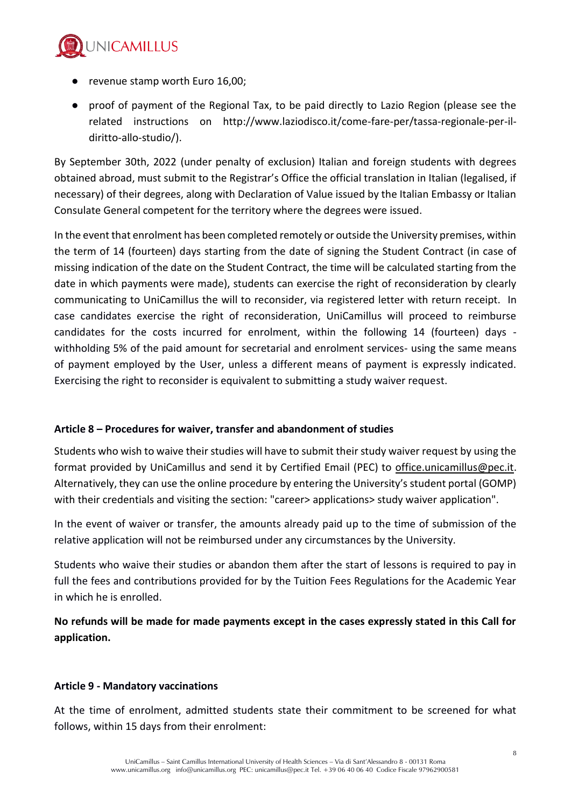

- revenue stamp worth Euro 16,00;
- proof of payment of the Regional Tax, to be paid directly to Lazio Region (please see the related instructions on http://www.laziodisco.it/come-fare-per/tassa-regionale-per-ildiritto-allo-studio/).

By September 30th, 2022 (under penalty of exclusion) Italian and foreign students with degrees obtained abroad, must submit to the Registrar's Office the official translation in Italian (legalised, if necessary) of their degrees, along with Declaration of Value issued by the Italian Embassy or Italian Consulate General competent for the territory where the degrees were issued.

In the event that enrolment has been completed remotely or outside the University premises, within the term of 14 (fourteen) days starting from the date of signing the Student Contract (in case of missing indication of the date on the Student Contract, the time will be calculated starting from the date in which payments were made), students can exercise the right of reconsideration by clearly communicating to UniCamillus the will to reconsider, via registered letter with return receipt. In case candidates exercise the right of reconsideration, UniCamillus will proceed to reimburse candidates for the costs incurred for enrolment, within the following 14 (fourteen) days withholding 5% of the paid amount for secretarial and enrolment services- using the same means of payment employed by the User, unless a different means of payment is expressly indicated. Exercising the right to reconsider is equivalent to submitting a study waiver request.

# **Article 8 – Procedures for waiver, transfer and abandonment of studies**

Students who wish to waive their studies will have to submit their study waiver request by using the format provided by UniCamillus and send it by Certified Email (PEC) to [office.unicamillus@pec.it.](mailto:office.unicamillus@pec.it) Alternatively, they can use the online procedure by entering the University's student portal (GOMP) with their credentials and visiting the section: "career> applications> study waiver application".

In the event of waiver or transfer, the amounts already paid up to the time of submission of the relative application will not be reimbursed under any circumstances by the University.

Students who waive their studies or abandon them after the start of lessons is required to pay in full the fees and contributions provided for by the Tuition Fees Regulations for the Academic Year in which he is enrolled.

**No refunds will be made for made payments except in the cases expressly stated in this Call for application.**

# **Article 9 - Mandatory vaccinations**

At the time of enrolment, admitted students state their commitment to be screened for what follows, within 15 days from their enrolment: